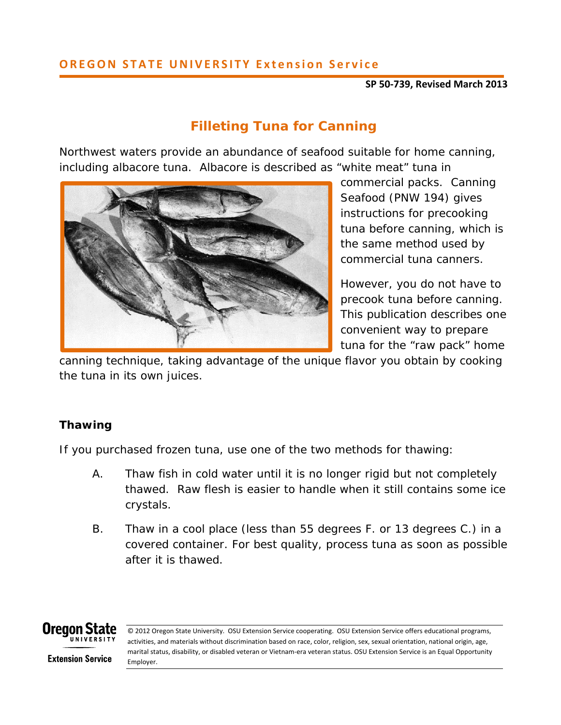## **OREGON STATE UNIVERSITY Extension Service**

#### **SP 50‐739, Revised March 2013**

# **Filleting Tuna for Canning**

Northwest waters provide an abundance of seafood suitable for home canning, including albacore tuna. Albacore is described as "white meat" tuna in



commercial packs. *Canning Seafood* (PNW 194) gives instructions for precooking tuna before canning, which is the same method used by commercial tuna canners.

However, you do not have to precook tuna before canning. This publication describes one convenient way to prepare tuna for the "raw pack" home

canning technique, taking advantage of the unique flavor you obtain by cooking the tuna in its own juices.

# **Thawing**

If you purchased frozen tuna, use one of the two methods for thawing:

- A. Thaw fish in cold water until it is no longer rigid but not completely thawed. Raw flesh is easier to handle when it still contains some ice crystals.
- B. Thaw in a cool place (less than 55 degrees F. or 13 degrees C.) in a covered container. For best quality, process tuna as soon as possible after it is thawed.



<u> Andreas Andreas Andreas Andreas Andreas Andreas Andreas Andreas Andreas Andreas Andreas Andreas Andreas Andreas Andreas Andreas Andreas Andreas Andreas Andreas Andreas Andreas Andreas Andreas Andreas Andreas Andreas Andr</u>

© 2012 Oregon State University. OSU Extension Service cooperating. OSU Extension Service offers educational programs, activities, and materials without discrimination based on race, color, religion, sex, sexual orientation, national origin, age, marital status, disability, or disabled veteran or Vietnam‐era veteran status. OSU Extension Service is an Equal Opportunity Employer.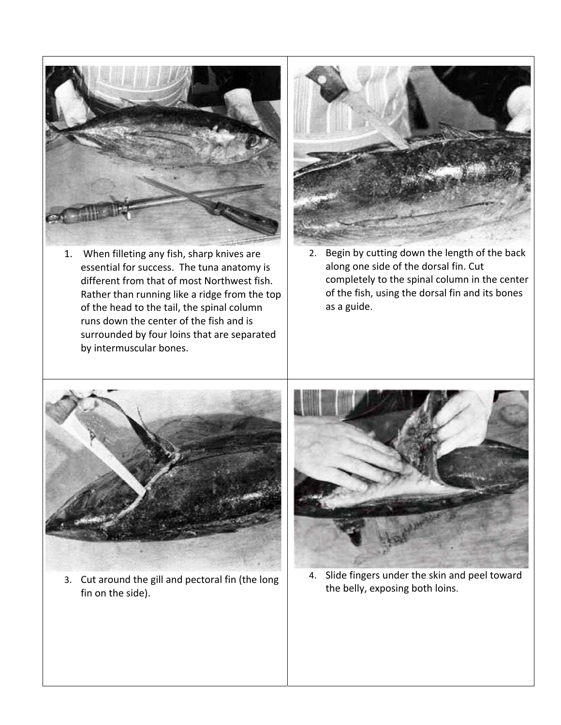

1. When filleting any fish, sharp knives are essential for success. The tuna anatomy is different from that of most Northwest fish. Rather than running like a ridge from the top of the head to the tail, the spinal column runs down the center of the fish and is surrounded by four loins that are separated by intermuscular bones.



2. Begin by cutting down the length of the back along one side of the dorsal fin. Cut completely to the spinal column in the center of the fish, using the dorsal fin and its bones as a guide.



3. Cut around the gill and pectoral fin (the long fin on the side).



4. Slide fingers under the skin and peel toward the belly, exposing both loins.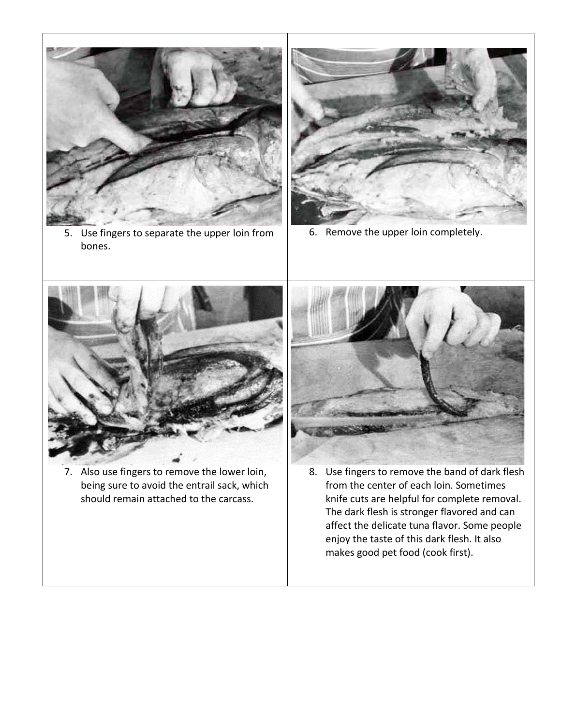

5. Use fingers to separate the upper loin from bones.



6. Remove the upper loin completely.



7. Also use fingers to remove the lower loin, being sure to avoid the entrail sack, which should remain attached to the carcass.



8. Use fingers to remove the band of dark flesh from the center of each loin. Sometimes knife cuts are helpful for complete removal. The dark flesh is stronger flavored and can affect the delicate tuna flavor. Some people enjoy the taste of this dark flesh. It also makes good pet food (cook first).